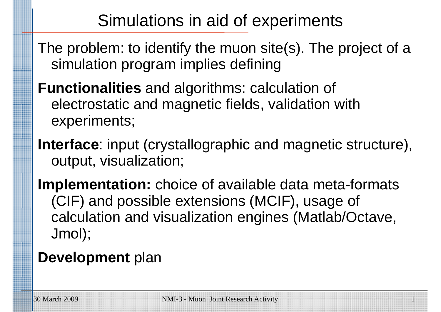# Simulations in aid of experiments

- The problem: to identify the muon site(s). The project of a simulation program implies defining
- **Functionalities** and algorithms: calculation of electrostatic and magnetic fields, validation with experiments;
- **Interface**: input (crystallographic and magnetic structure), output, visualization;
- **Implementation:** choice of available data meta-formats (CIF) and possible extensions (MCIF), usage of calculation and visualization engines (Matlab/Octave, Jmol);

### **Development** plan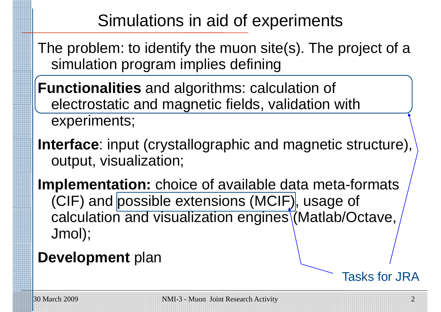# Simulations in aid of experiments

- The problem: to identify the muon site(s). The project of a simulation program implies defining
- **Functionalities** and algorithms: calculation of electrostatic and magnetic fields, validation with experiments;
- **Interface**: input (crystallographic and magnetic structure), output, visualization;
- **Implementation:** choice of available data meta-formats (CIF) and possible extensions (MCIF)|, usage of calculation and visualization engines (Matlab/Octave, Jmol);
- **Development** plan

Tasks for JRA

\_\_\_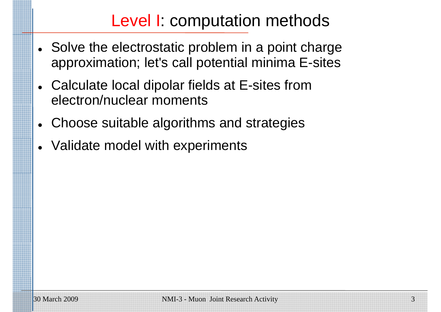# Level I: computation methods

- Solve the electrostatic problem in a point charge approximation; let's call potential minima E-sites
- $\bullet$  Calculate local dipolar fields at E-sites from electron/nuclear moments
- $\bullet$ Choose suitable algorithms and strategies
- $\bullet$ Validate model with experiments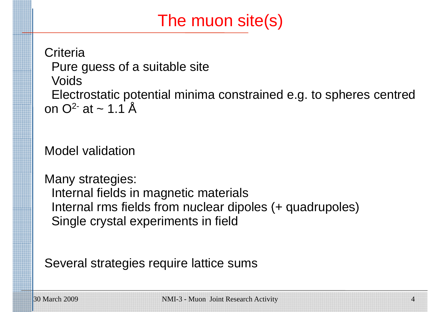# The muon site(s)

**Criteria** Pure guess of <sup>a</sup> suitable site Voids Electrostatic potential minima constrained e.g. to spheres centred on  $Q^2$  at  $\sim$  1.1 Å

Model validation

Many strategies: Internal fields in magnetic materials Internal rms fields from nuclear dipoles (+ quadrupoles) Single crystal experiments in field

Several strategies require lattice sums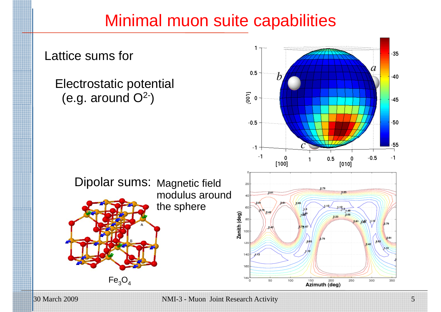### Minimal muon suite capabilities



30 March 2009 NMI-3 - Muon Joint Research Activity 5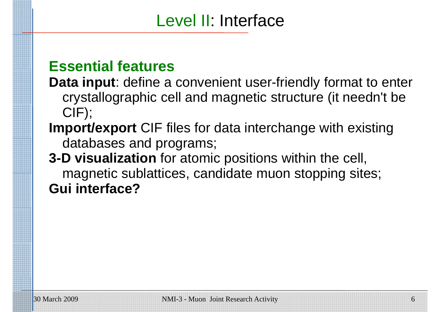### Level II: Interface

#### **Essential features**

- **Data input**: define a convenient user-friendly format to enter cry stallographic cell and magnetic structure (it needn't be CIF);
- **Import/export** CIF files for data interchange with existing databases and programs;
- **3-D visualization** for atomic positions within the cell, magnetic sublattices, candidate muon stopping sites; **Gui interface?**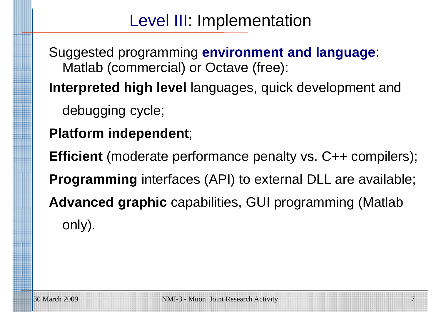### Level III: Implementation

Suggested programming **environment and language**: Matlab (commercial) or Octave (free):

**Interpreted high level** languages, quick development and

debugging cycle;

**Platform independent**;

**Efficient** (moderate performance penalty vs. C++ compilers); **Programming** interfaces (API) to external DLL are available; Advanced graphic capabilities, GUI programming (Matlab only).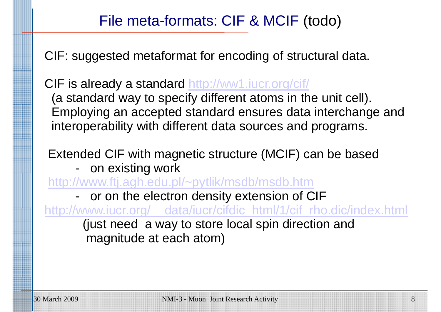#### File meta-formats: CIF & MCIF (todo)

CIF: suggested metaformat for encoding of structural data.

CIF is already a standard http://ww1.iucr.org/cif/ (a standard way to specify different atoms in the unit cell). Employing an accepted standard ensures data interchange and interoperability with different data sources and programs.

Extended CIF with magnetic structure (MCIF) can be based

- on existin g work

http://www.ftj.agh.edu.pl/~pytlik/msdb/msdb.htm

 or on the electron density extension of CIF <u>http://www.iucr.org/\_\_data/iucr/cifdic\_html/1/cif\_rho.dic/index.html</u> (just need a way to store local spin direction and magnitude at each atom)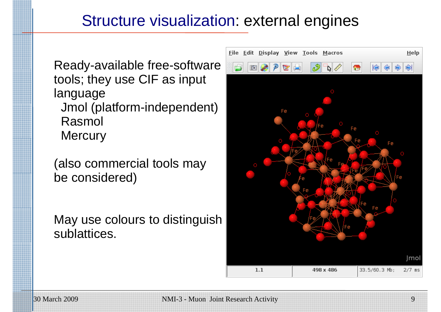#### Structure visualization: external engines

Ready-available free-software tools; they use CIF as input language Jmol (platform-independent) Rasmol **Mercury** 

(also commercial tools may be considered)

May use colours to distinguish sublattices.